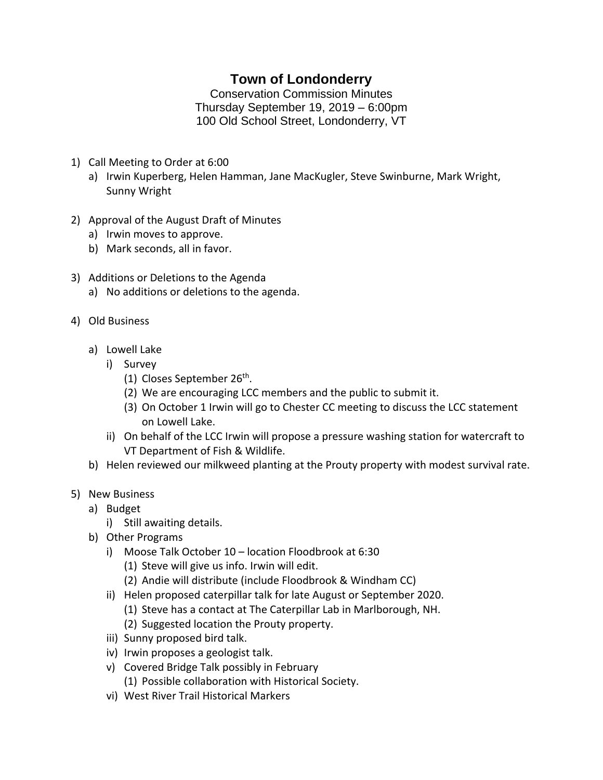## **Town of Londonderry**

Conservation Commission Minutes Thursday September 19, 2019 – 6:00pm 100 Old School Street, Londonderry, VT

- 1) Call Meeting to Order at 6:00
	- a) Irwin Kuperberg, Helen Hamman, Jane MacKugler, Steve Swinburne, Mark Wright, Sunny Wright
- 2) Approval of the August Draft of Minutes
	- a) Irwin moves to approve.
	- b) Mark seconds, all in favor.
- 3) Additions or Deletions to the Agenda
	- a) No additions or deletions to the agenda.
- 4) Old Business
	- a) Lowell Lake
		- i) Survey
			- (1) Closes September 26<sup>th</sup>.
			- (2) We are encouraging LCC members and the public to submit it.
			- (3) On October 1 Irwin will go to Chester CC meeting to discuss the LCC statement on Lowell Lake.
		- ii) On behalf of the LCC Irwin will propose a pressure washing station for watercraft to VT Department of Fish & Wildlife.
	- b) Helen reviewed our milkweed planting at the Prouty property with modest survival rate.
- 5) New Business
	- a) Budget
		- i) Still awaiting details.
	- b) Other Programs
		- i) Moose Talk October 10 location Floodbrook at 6:30
			- (1) Steve will give us info. Irwin will edit.
			- (2) Andie will distribute (include Floodbrook & Windham CC)
		- ii) Helen proposed caterpillar talk for late August or September 2020.
			- (1) Steve has a contact at The Caterpillar Lab in Marlborough, NH.
			- (2) Suggested location the Prouty property.
		- iii) Sunny proposed bird talk.
		- iv) Irwin proposes a geologist talk.
		- v) Covered Bridge Talk possibly in February (1) Possible collaboration with Historical Society.
		- vi) West River Trail Historical Markers